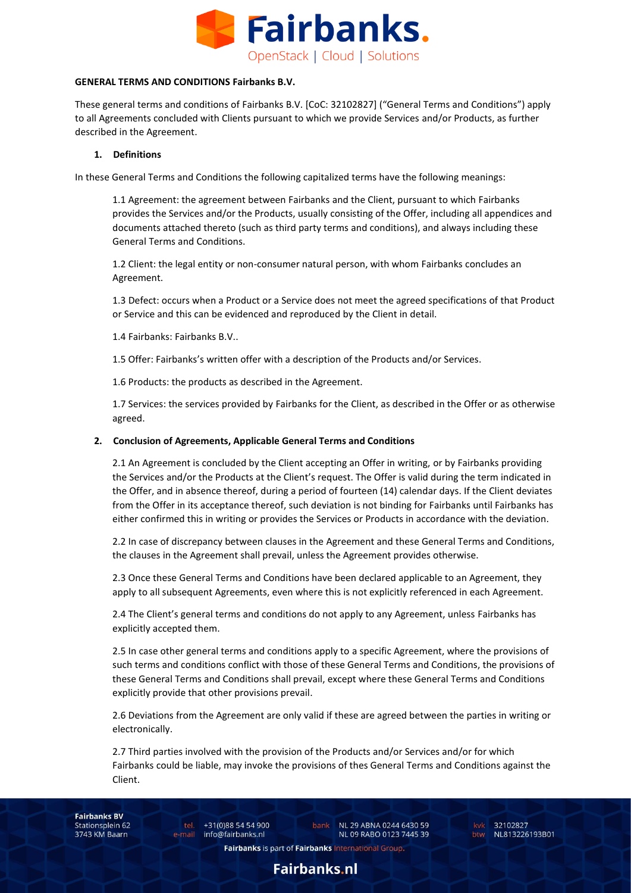

#### **GENERAL TERMS AND CONDITIONS Fairbanks B.V.**

These general terms and conditions of Fairbanks B.V. [CoC: 32102827] ("General Terms and Conditions") apply to all Agreements concluded with Clients pursuant to which we provide Services and/or Products, as further described in the Agreement.

### **1. Definitions**

In these General Terms and Conditions the following capitalized terms have the following meanings:

1.1 Agreement: the agreement between Fairbanks and the Client, pursuant to which Fairbanks provides the Services and/or the Products, usually consisting of the Offer, including all appendices and documents attached thereto (such as third party terms and conditions), and always including these General Terms and Conditions.

1.2 Client: the legal entity or non-consumer natural person, with whom Fairbanks concludes an Agreement.

1.3 Defect: occurs when a Product or a Service does not meet the agreed specifications of that Product or Service and this can be evidenced and reproduced by the Client in detail.

1.4 Fairbanks: Fairbanks B.V..

1.5 Offer: Fairbanks's written offer with a description of the Products and/or Services.

1.6 Products: the products as described in the Agreement.

1.7 Services: the services provided by Fairbanks for the Client, as described in the Offer or as otherwise agreed.

#### **2. Conclusion of Agreements, Applicable General Terms and Conditions**

2.1 An Agreement is concluded by the Client accepting an Offer in writing, or by Fairbanks providing the Services and/or the Products at the Client's request. The Offer is valid during the term indicated in the Offer, and in absence thereof, during a period of fourteen (14) calendar days. If the Client deviates from the Offer in its acceptance thereof, such deviation is not binding for Fairbanks until Fairbanks has either confirmed this in writing or provides the Services or Products in accordance with the deviation.

2.2 In case of discrepancy between clauses in the Agreement and these General Terms and Conditions, the clauses in the Agreement shall prevail, unless the Agreement provides otherwise.

2.3 Once these General Terms and Conditions have been declared applicable to an Agreement, they apply to all subsequent Agreements, even where this is not explicitly referenced in each Agreement.

2.4 The Client's general terms and conditions do not apply to any Agreement, unless Fairbanks has explicitly accepted them.

2.5 In case other general terms and conditions apply to a specific Agreement, where the provisions of such terms and conditions conflict with those of these General Terms and Conditions, the provisions of these General Terms and Conditions shall prevail, except where these General Terms and Conditions explicitly provide that other provisions prevail.

2.6 Deviations from the Agreement are only valid if these are agreed between the parties in writing or electronically.

2.7 Third parties involved with the provision of the Products and/or Services and/or for which Fairbanks could be liable, may invoke the provisions of thes General Terms and Conditions against the Client.

**Fairbanks BV** Stationsplein 62 3743 KM Baarn

tel. +31(0)88 54 54 900 e-mail info@fairbanks.nl

bank NL 29 ABNA 0244 6430 59 NL 09 RABO 0123 7445 39

kvk 32102827 btw NL813226193B01

Fairbanks is part of Fairbanks International Group.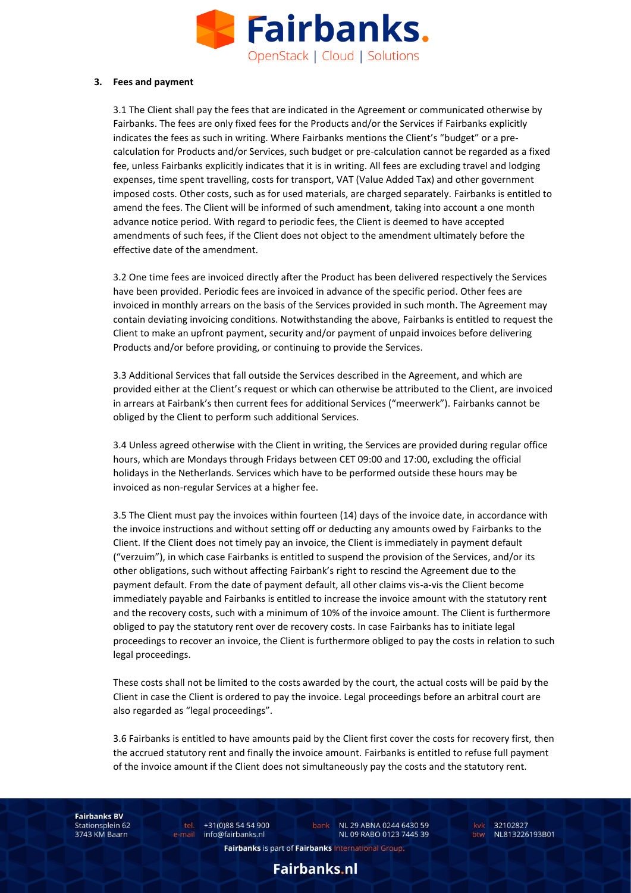

#### **3. Fees and payment**

3.1 The Client shall pay the fees that are indicated in the Agreement or communicated otherwise by Fairbanks. The fees are only fixed fees for the Products and/or the Services if Fairbanks explicitly indicates the fees as such in writing. Where Fairbanks mentions the Client's "budget" or a precalculation for Products and/or Services, such budget or pre-calculation cannot be regarded as a fixed fee, unless Fairbanks explicitly indicates that it is in writing. All fees are excluding travel and lodging expenses, time spent travelling, costs for transport, VAT (Value Added Tax) and other government imposed costs. Other costs, such as for used materials, are charged separately. Fairbanks is entitled to amend the fees. The Client will be informed of such amendment, taking into account a one month advance notice period. With regard to periodic fees, the Client is deemed to have accepted amendments of such fees, if the Client does not object to the amendment ultimately before the effective date of the amendment.

3.2 One time fees are invoiced directly after the Product has been delivered respectively the Services have been provided. Periodic fees are invoiced in advance of the specific period. Other fees are invoiced in monthly arrears on the basis of the Services provided in such month. The Agreement may contain deviating invoicing conditions. Notwithstanding the above, Fairbanks is entitled to request the Client to make an upfront payment, security and/or payment of unpaid invoices before delivering Products and/or before providing, or continuing to provide the Services.

3.3 Additional Services that fall outside the Services described in the Agreement, and which are provided either at the Client's request or which can otherwise be attributed to the Client, are invoiced in arrears at Fairbank's then current fees for additional Services ("meerwerk"). Fairbanks cannot be obliged by the Client to perform such additional Services.

3.4 Unless agreed otherwise with the Client in writing, the Services are provided during regular office hours, which are Mondays through Fridays between CET 09:00 and 17:00, excluding the official holidays in the Netherlands. Services which have to be performed outside these hours may be invoiced as non-regular Services at a higher fee.

3.5 The Client must pay the invoices within fourteen (14) days of the invoice date, in accordance with the invoice instructions and without setting off or deducting any amounts owed by Fairbanks to the Client. If the Client does not timely pay an invoice, the Client is immediately in payment default ("verzuim"), in which case Fairbanks is entitled to suspend the provision of the Services, and/or its other obligations, such without affecting Fairbank's right to rescind the Agreement due to the payment default. From the date of payment default, all other claims vis-a-vis the Client become immediately payable and Fairbanks is entitled to increase the invoice amount with the statutory rent and the recovery costs, such with a minimum of 10% of the invoice amount. The Client is furthermore obliged to pay the statutory rent over de recovery costs. In case Fairbanks has to initiate legal proceedings to recover an invoice, the Client is furthermore obliged to pay the costs in relation to such legal proceedings.

These costs shall not be limited to the costs awarded by the court, the actual costs will be paid by the Client in case the Client is ordered to pay the invoice. Legal proceedings before an arbitral court are also regarded as "legal proceedings".

3.6 Fairbanks is entitled to have amounts paid by the Client first cover the costs for recovery first, then the accrued statutory rent and finally the invoice amount. Fairbanks is entitled to refuse full payment of the invoice amount if the Client does not simultaneously pay the costs and the statutory rent.

**Fairbanks BV** Stationsplein 62 3743 KM Baarn

tel. +31(0)88 54 54 900 e-mail info@fairbanks.nl

bank NL 29 ABNA 0244 6430 59 NL 09 RABO 0123 7445 39

kvk 32102827 btw NL813226193B01

Fairbanks is part of Fairbanks International Group.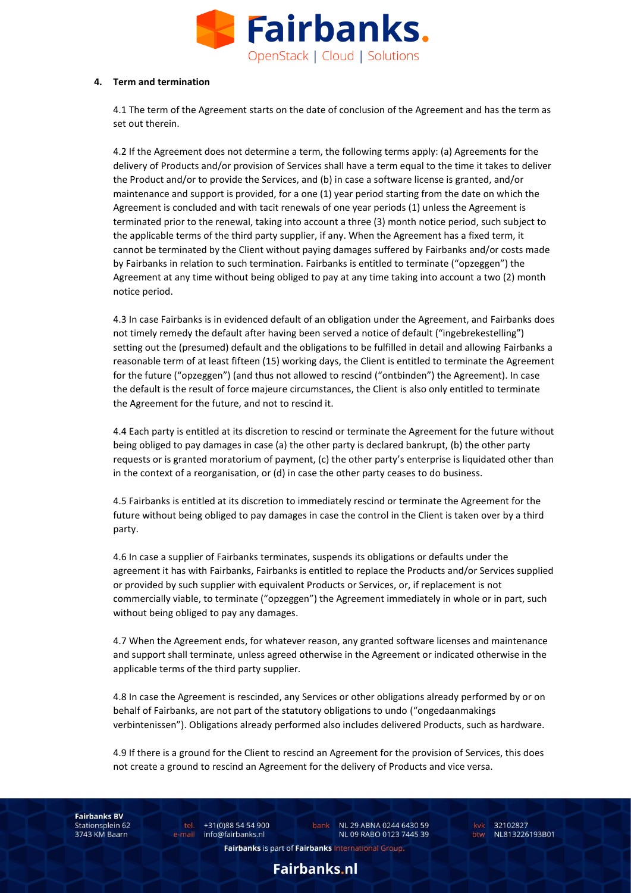

#### **4. Term and termination**

4.1 The term of the Agreement starts on the date of conclusion of the Agreement and has the term as set out therein.

4.2 If the Agreement does not determine a term, the following terms apply: (a) Agreements for the delivery of Products and/or provision of Services shall have a term equal to the time it takes to deliver the Product and/or to provide the Services, and (b) in case a software license is granted, and/or maintenance and support is provided, for a one (1) year period starting from the date on which the Agreement is concluded and with tacit renewals of one year periods (1) unless the Agreement is terminated prior to the renewal, taking into account a three (3) month notice period, such subject to the applicable terms of the third party supplier, if any. When the Agreement has a fixed term, it cannot be terminated by the Client without paying damages suffered by Fairbanks and/or costs made by Fairbanks in relation to such termination. Fairbanks is entitled to terminate ("opzeggen") the Agreement at any time without being obliged to pay at any time taking into account a two (2) month notice period.

4.3 In case Fairbanks is in evidenced default of an obligation under the Agreement, and Fairbanks does not timely remedy the default after having been served a notice of default ("ingebrekestelling") setting out the (presumed) default and the obligations to be fulfilled in detail and allowing Fairbanks a reasonable term of at least fifteen (15) working days, the Client is entitled to terminate the Agreement for the future ("opzeggen") (and thus not allowed to rescind ("ontbinden") the Agreement). In case the default is the result of force majeure circumstances, the Client is also only entitled to terminate the Agreement for the future, and not to rescind it.

4.4 Each party is entitled at its discretion to rescind or terminate the Agreement for the future without being obliged to pay damages in case (a) the other party is declared bankrupt, (b) the other party requests or is granted moratorium of payment, (c) the other party's enterprise is liquidated other than in the context of a reorganisation, or (d) in case the other party ceases to do business.

4.5 Fairbanks is entitled at its discretion to immediately rescind or terminate the Agreement for the future without being obliged to pay damages in case the control in the Client is taken over by a third party.

4.6 In case a supplier of Fairbanks terminates, suspends its obligations or defaults under the agreement it has with Fairbanks, Fairbanks is entitled to replace the Products and/or Services supplied or provided by such supplier with equivalent Products or Services, or, if replacement is not commercially viable, to terminate ("opzeggen") the Agreement immediately in whole or in part, such without being obliged to pay any damages.

4.7 When the Agreement ends, for whatever reason, any granted software licenses and maintenance and support shall terminate, unless agreed otherwise in the Agreement or indicated otherwise in the applicable terms of the third party supplier.

4.8 In case the Agreement is rescinded, any Services or other obligations already performed by or on behalf of Fairbanks, are not part of the statutory obligations to undo ("ongedaanmakings verbintenissen"). Obligations already performed also includes delivered Products, such as hardware.

4.9 If there is a ground for the Client to rescind an Agreement for the provision of Services, this does not create a ground to rescind an Agreement for the delivery of Products and vice versa.

**Fairbanks BV** Stationsplein 62 3743 KM Baarn

tel. +31(0)88 54 54 900 e-mail info@fairbanks.nl

bank NL 29 ABNA 0244 6430 59 NL 09 RABO 0123 7445 39

kvk 32102827 btw NL813226193B01

Fairbanks is part of Fairbanks International Group.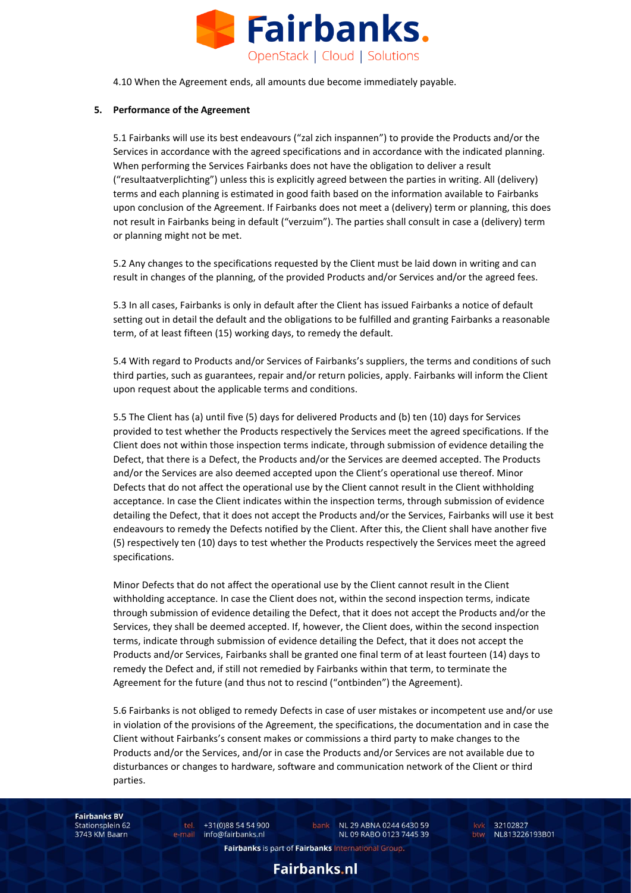

4.10 When the Agreement ends, all amounts due become immediately payable.

## **5. Performance of the Agreement**

5.1 Fairbanks will use its best endeavours ("zal zich inspannen") to provide the Products and/or the Services in accordance with the agreed specifications and in accordance with the indicated planning. When performing the Services Fairbanks does not have the obligation to deliver a result ("resultaatverplichting") unless this is explicitly agreed between the parties in writing. All (delivery) terms and each planning is estimated in good faith based on the information available to Fairbanks upon conclusion of the Agreement. If Fairbanks does not meet a (delivery) term or planning, this does not result in Fairbanks being in default ("verzuim"). The parties shall consult in case a (delivery) term or planning might not be met.

5.2 Any changes to the specifications requested by the Client must be laid down in writing and can result in changes of the planning, of the provided Products and/or Services and/or the agreed fees.

5.3 In all cases, Fairbanks is only in default after the Client has issued Fairbanks a notice of default setting out in detail the default and the obligations to be fulfilled and granting Fairbanks a reasonable term, of at least fifteen (15) working days, to remedy the default.

5.4 With regard to Products and/or Services of Fairbanks's suppliers, the terms and conditions of such third parties, such as guarantees, repair and/or return policies, apply. Fairbanks will inform the Client upon request about the applicable terms and conditions.

5.5 The Client has (a) until five (5) days for delivered Products and (b) ten (10) days for Services provided to test whether the Products respectively the Services meet the agreed specifications. If the Client does not within those inspection terms indicate, through submission of evidence detailing the Defect, that there is a Defect, the Products and/or the Services are deemed accepted. The Products and/or the Services are also deemed accepted upon the Client's operational use thereof. Minor Defects that do not affect the operational use by the Client cannot result in the Client withholding acceptance. In case the Client indicates within the inspection terms, through submission of evidence detailing the Defect, that it does not accept the Products and/or the Services, Fairbanks will use it best endeavours to remedy the Defects notified by the Client. After this, the Client shall have another five (5) respectively ten (10) days to test whether the Products respectively the Services meet the agreed specifications.

Minor Defects that do not affect the operational use by the Client cannot result in the Client withholding acceptance. In case the Client does not, within the second inspection terms, indicate through submission of evidence detailing the Defect, that it does not accept the Products and/or the Services, they shall be deemed accepted. If, however, the Client does, within the second inspection terms, indicate through submission of evidence detailing the Defect, that it does not accept the Products and/or Services, Fairbanks shall be granted one final term of at least fourteen (14) days to remedy the Defect and, if still not remedied by Fairbanks within that term, to terminate the Agreement for the future (and thus not to rescind ("ontbinden") the Agreement).

5.6 Fairbanks is not obliged to remedy Defects in case of user mistakes or incompetent use and/or use in violation of the provisions of the Agreement, the specifications, the documentation and in case the Client without Fairbanks's consent makes or commissions a third party to make changes to the Products and/or the Services, and/or in case the Products and/or Services are not available due to disturbances or changes to hardware, software and communication network of the Client or third parties.

**Fairbanks BV** Stationsplein 62 3743 KM Baarn

tel. +31(0)88 54 54 900 e-mail info@fairbanks.nl

bank NL 29 ABNA 0244 6430 59 NL 09 RABO 0123 7445 39

kvk 32102827 btw NL813226193B01

Fairbanks is part of Fairbanks International Group.

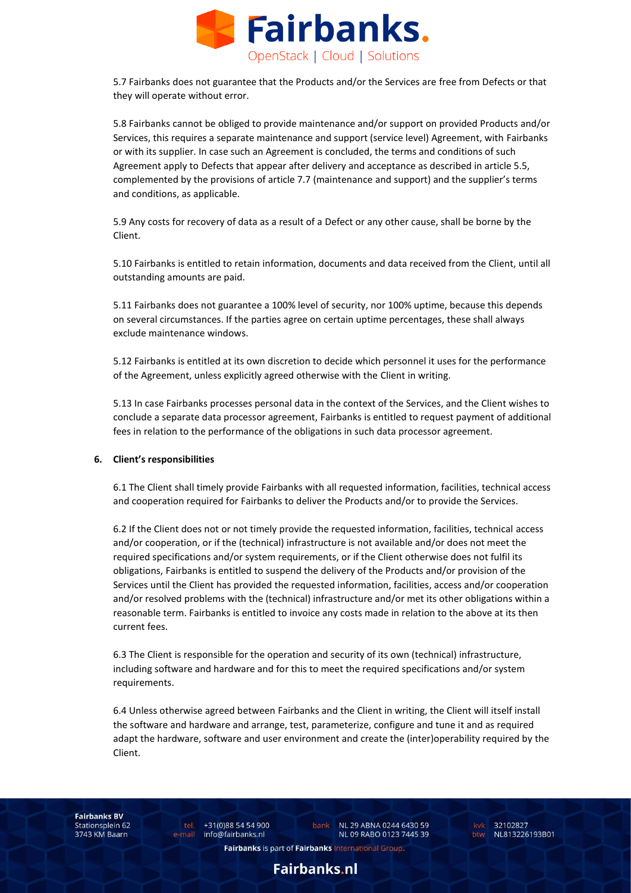

5.7 Fairbanks does not guarantee that the Products and/or the Services are free from Defects or that they will operate without error.

5.8 Fairbanks cannot be obliged to provide maintenance and/or support on provided Products and/or Services, this requires a separate maintenance and support (service level) Agreement, with Fairbanks or with its supplier. In case such an Agreement is concluded, the terms and conditions of such Agreement apply to Defects that appear after delivery and acceptance as described in article 5.5, complemented by the provisions of article 7.7 (maintenance and support) and the supplier's terms and conditions, as applicable.

5.9 Any costs for recovery of data as a result of a Defect or any other cause, shall be borne by the Client.

5.10 Fairbanks is entitled to retain information, documents and data received from the Client, until all outstanding amounts are paid.

5.11 Fairbanks does not guarantee a 100% level of security, nor 100% uptime, because this depends on several circumstances. If the parties agree on certain uptime percentages, these shall always exclude maintenance windows.

5.12 Fairbanks is entitled at its own discretion to decide which personnel it uses for the performance of the Agreement, unless explicitly agreed otherwise with the Client in writing.

5.13 In case Fairbanks processes personal data in the context of the Services, and the Client wishes to conclude a separate data processor agreement, Fairbanks is entitled to request payment of additional fees in relation to the performance of the obligations in such data processor agreement.

#### **6. Client's responsibilities**

6.1 The Client shall timely provide Fairbanks with all requested information, facilities, technical access and cooperation required for Fairbanks to deliver the Products and/or to provide the Services.

6.2 If the Client does not or not timely provide the requested information, facilities, technical access and/or cooperation, or if the (technical) infrastructure is not available and/or does not meet the required specifications and/or system requirements, or if the Client otherwise does not fulfil its obligations, Fairbanks is entitled to suspend the delivery of the Products and/or provision of the Services until the Client has provided the requested information, facilities, access and/or cooperation and/or resolved problems with the (technical) infrastructure and/or met its other obligations within a reasonable term. Fairbanks is entitled to invoice any costs made in relation to the above at its then current fees.

6.3 The Client is responsible for the operation and security of its own (technical) infrastructure, including software and hardware and for this to meet the required specifications and/or system requirements.

6.4 Unless otherwise agreed between Fairbanks and the Client in writing, the Client will itself install the software and hardware and arrange, test, parameterize, configure and tune it and as required adapt the hardware, software and user environment and create the (inter)operability required by the Client.

**Fairbanks BV** Stationsplein 62 3743 KM Baarn

tel. +31(0)88 54 54 900 e-mail info@fairbanks.nl

bank NL 29 ABNA 0244 6430 59 NL 09 RABO 0123 7445 39 kvk 32102827 NL813226193B01

Fairbanks is part of Fairbanks International Group.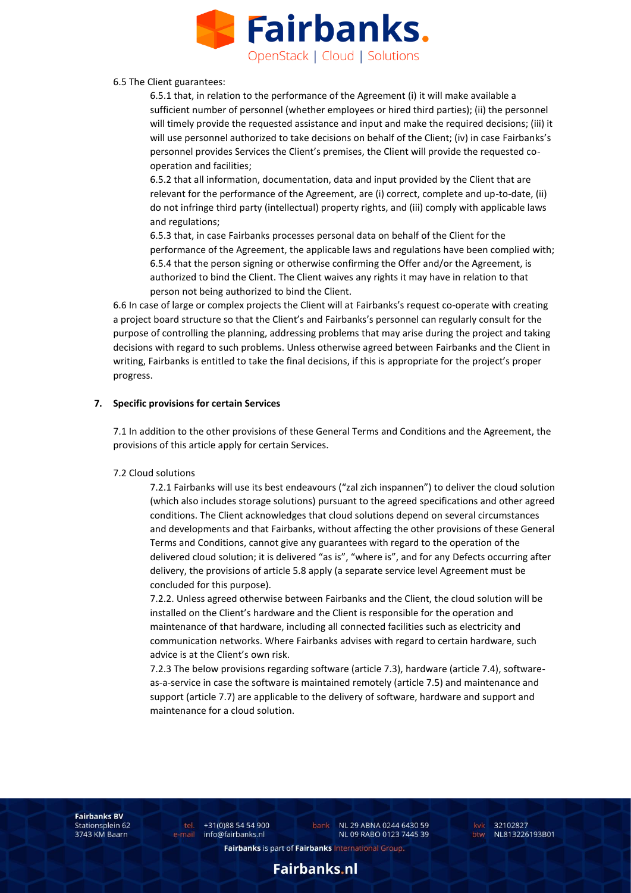

#### 6.5 The Client guarantees:

6.5.1 that, in relation to the performance of the Agreement (i) it will make available a sufficient number of personnel (whether employees or hired third parties); (ii) the personnel will timely provide the requested assistance and input and make the required decisions; (iii) it will use personnel authorized to take decisions on behalf of the Client; (iv) in case Fairbanks's personnel provides Services the Client's premises, the Client will provide the requested cooperation and facilities;

6.5.2 that all information, documentation, data and input provided by the Client that are relevant for the performance of the Agreement, are (i) correct, complete and up-to-date, (ii) do not infringe third party (intellectual) property rights, and (iii) comply with applicable laws and regulations;

6.5.3 that, in case Fairbanks processes personal data on behalf of the Client for the performance of the Agreement, the applicable laws and regulations have been complied with; 6.5.4 that the person signing or otherwise confirming the Offer and/or the Agreement, is authorized to bind the Client. The Client waives any rights it may have in relation to that person not being authorized to bind the Client.

6.6 In case of large or complex projects the Client will at Fairbanks's request co-operate with creating a project board structure so that the Client's and Fairbanks's personnel can regularly consult for the purpose of controlling the planning, addressing problems that may arise during the project and taking decisions with regard to such problems. Unless otherwise agreed between Fairbanks and the Client in writing, Fairbanks is entitled to take the final decisions, if this is appropriate for the project's proper progress.

## **7. Specific provisions for certain Services**

7.1 In addition to the other provisions of these General Terms and Conditions and the Agreement, the provisions of this article apply for certain Services.

## 7.2 Cloud solutions

7.2.1 Fairbanks will use its best endeavours ("zal zich inspannen") to deliver the cloud solution (which also includes storage solutions) pursuant to the agreed specifications and other agreed conditions. The Client acknowledges that cloud solutions depend on several circumstances and developments and that Fairbanks, without affecting the other provisions of these General Terms and Conditions, cannot give any guarantees with regard to the operation of the delivered cloud solution; it is delivered "as is", "where is", and for any Defects occurring after delivery, the provisions of article 5.8 apply (a separate service level Agreement must be concluded for this purpose).

7.2.2. Unless agreed otherwise between Fairbanks and the Client, the cloud solution will be installed on the Client's hardware and the Client is responsible for the operation and maintenance of that hardware, including all connected facilities such as electricity and communication networks. Where Fairbanks advises with regard to certain hardware, such advice is at the Client's own risk.

7.2.3 The below provisions regarding software (article 7.3), hardware (article 7.4), softwareas-a-service in case the software is maintained remotely (article 7.5) and maintenance and support (article 7.7) are applicable to the delivery of software, hardware and support and maintenance for a cloud solution.

**Fairbanks BV** Stationsplein 62 3743 KM Baarn

tel. +31(0)88 54 54 900 e-mail info@fairbanks.nl

bank NL 29 ABNA 0244 6430 59 NL 09 RABO 0123 7445 39

kvk 32102827 btw NL813226193B01

Fairbanks is part of Fairbanks International Group.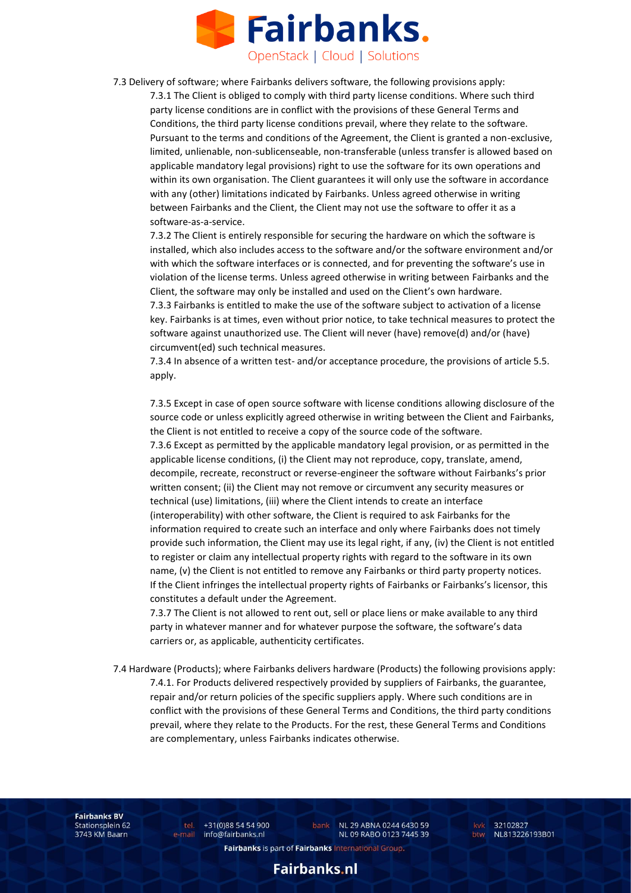

7.3 Delivery of software; where Fairbanks delivers software, the following provisions apply:

7.3.1 The Client is obliged to comply with third party license conditions. Where such third party license conditions are in conflict with the provisions of these General Terms and Conditions, the third party license conditions prevail, where they relate to the software. Pursuant to the terms and conditions of the Agreement, the Client is granted a non-exclusive, limited, unlienable, non-sublicenseable, non-transferable (unless transfer is allowed based on applicable mandatory legal provisions) right to use the software for its own operations and within its own organisation. The Client guarantees it will only use the software in accordance with any (other) limitations indicated by Fairbanks. Unless agreed otherwise in writing between Fairbanks and the Client, the Client may not use the software to offer it as a software-as-a-service.

7.3.2 The Client is entirely responsible for securing the hardware on which the software is installed, which also includes access to the software and/or the software environment and/or with which the software interfaces or is connected, and for preventing the software's use in violation of the license terms. Unless agreed otherwise in writing between Fairbanks and the Client, the software may only be installed and used on the Client's own hardware.

7.3.3 Fairbanks is entitled to make the use of the software subject to activation of a license key. Fairbanks is at times, even without prior notice, to take technical measures to protect the software against unauthorized use. The Client will never (have) remove(d) and/or (have) circumvent(ed) such technical measures.

7.3.4 In absence of a written test- and/or acceptance procedure, the provisions of article 5.5. apply.

7.3.5 Except in case of open source software with license conditions allowing disclosure of the source code or unless explicitly agreed otherwise in writing between the Client and Fairbanks, the Client is not entitled to receive a copy of the source code of the software. 7.3.6 Except as permitted by the applicable mandatory legal provision, or as permitted in the applicable license conditions, (i) the Client may not reproduce, copy, translate, amend, decompile, recreate, reconstruct or reverse-engineer the software without Fairbanks's prior written consent; (ii) the Client may not remove or circumvent any security measures or technical (use) limitations, (iii) where the Client intends to create an interface (interoperability) with other software, the Client is required to ask Fairbanks for the information required to create such an interface and only where Fairbanks does not timely provide such information, the Client may use its legal right, if any, (iv) the Client is not entitled to register or claim any intellectual property rights with regard to the software in its own name, (v) the Client is not entitled to remove any Fairbanks or third party property notices. If the Client infringes the intellectual property rights of Fairbanks or Fairbanks's licensor, this constitutes a default under the Agreement.

7.3.7 The Client is not allowed to rent out, sell or place liens or make available to any third party in whatever manner and for whatever purpose the software, the software's data carriers or, as applicable, authenticity certificates.

7.4 Hardware (Products); where Fairbanks delivers hardware (Products) the following provisions apply: 7.4.1. For Products delivered respectively provided by suppliers of Fairbanks, the guarantee, repair and/or return policies of the specific suppliers apply. Where such conditions are in conflict with the provisions of these General Terms and Conditions, the third party conditions prevail, where they relate to the Products. For the rest, these General Terms and Conditions are complementary, unless Fairbanks indicates otherwise.

**Fairbanks BV** Stationsplein 62 3743 KM Baarn

tel. +31(0)88 54 54 900 e-mail info@fairbanks.nl

bank NL 29 ABNA 0244 6430 59 NL 09 RABO 0123 7445 39

kvk 32102827 btw NL813226193B01

Fairbanks is part of Fairbanks International Group.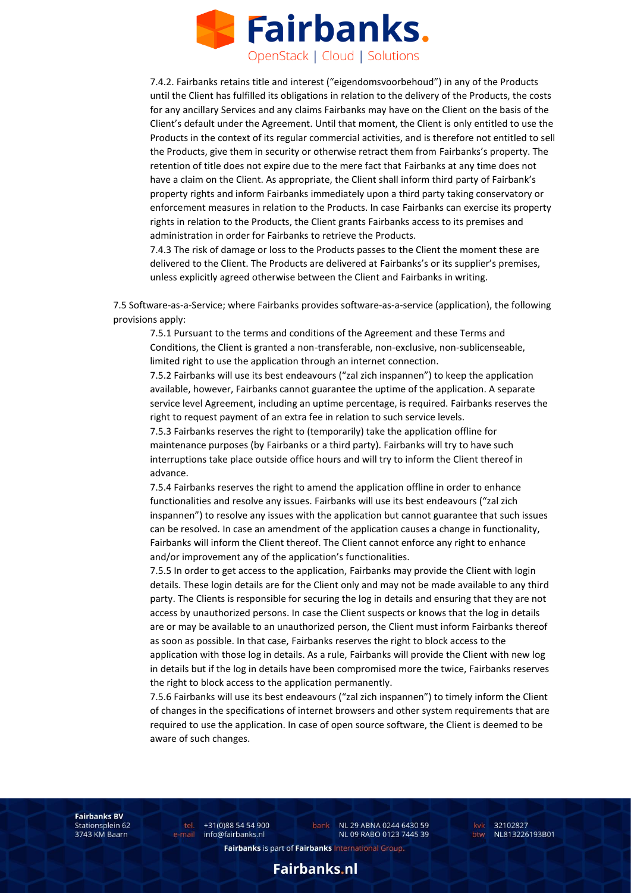

7.4.2. Fairbanks retains title and interest ("eigendomsvoorbehoud") in any of the Products until the Client has fulfilled its obligations in relation to the delivery of the Products, the costs for any ancillary Services and any claims Fairbanks may have on the Client on the basis of the Client's default under the Agreement. Until that moment, the Client is only entitled to use the Products in the context of its regular commercial activities, and is therefore not entitled to sell the Products, give them in security or otherwise retract them from Fairbanks's property. The retention of title does not expire due to the mere fact that Fairbanks at any time does not have a claim on the Client. As appropriate, the Client shall inform third party of Fairbank's property rights and inform Fairbanks immediately upon a third party taking conservatory or enforcement measures in relation to the Products. In case Fairbanks can exercise its property rights in relation to the Products, the Client grants Fairbanks access to its premises and administration in order for Fairbanks to retrieve the Products.

7.4.3 The risk of damage or loss to the Products passes to the Client the moment these are delivered to the Client. The Products are delivered at Fairbanks's or its supplier's premises, unless explicitly agreed otherwise between the Client and Fairbanks in writing.

7.5 Software-as-a-Service; where Fairbanks provides software-as-a-service (application), the following provisions apply:

7.5.1 Pursuant to the terms and conditions of the Agreement and these Terms and Conditions, the Client is granted a non-transferable, non-exclusive, non-sublicenseable, limited right to use the application through an internet connection.

7.5.2 Fairbanks will use its best endeavours ("zal zich inspannen") to keep the application available, however, Fairbanks cannot guarantee the uptime of the application. A separate service level Agreement, including an uptime percentage, is required. Fairbanks reserves the right to request payment of an extra fee in relation to such service levels.

7.5.3 Fairbanks reserves the right to (temporarily) take the application offline for maintenance purposes (by Fairbanks or a third party). Fairbanks will try to have such interruptions take place outside office hours and will try to inform the Client thereof in advance.

7.5.4 Fairbanks reserves the right to amend the application offline in order to enhance functionalities and resolve any issues. Fairbanks will use its best endeavours ("zal zich inspannen") to resolve any issues with the application but cannot guarantee that such issues can be resolved. In case an amendment of the application causes a change in functionality, Fairbanks will inform the Client thereof. The Client cannot enforce any right to enhance and/or improvement any of the application's functionalities.

7.5.5 In order to get access to the application, Fairbanks may provide the Client with login details. These login details are for the Client only and may not be made available to any third party. The Clients is responsible for securing the log in details and ensuring that they are not access by unauthorized persons. In case the Client suspects or knows that the log in details are or may be available to an unauthorized person, the Client must inform Fairbanks thereof as soon as possible. In that case, Fairbanks reserves the right to block access to the application with those log in details. As a rule, Fairbanks will provide the Client with new log in details but if the log in details have been compromised more the twice, Fairbanks reserves the right to block access to the application permanently.

7.5.6 Fairbanks will use its best endeavours ("zal zich inspannen") to timely inform the Client of changes in the specifications of internet browsers and other system requirements that are required to use the application. In case of open source software, the Client is deemed to be aware of such changes.

**Fairbanks BV** Stationsplein 62 3743 KM Baarn

tel. +31(0)88 54 54 900 e-mail info@fairbanks.nl

bank NL 29 ABNA 0244 6430 59 NL 09 RABO 0123 7445 39

kvk 32102827 btw NL813226193B01

Fairbanks is part of Fairbanks International Group.

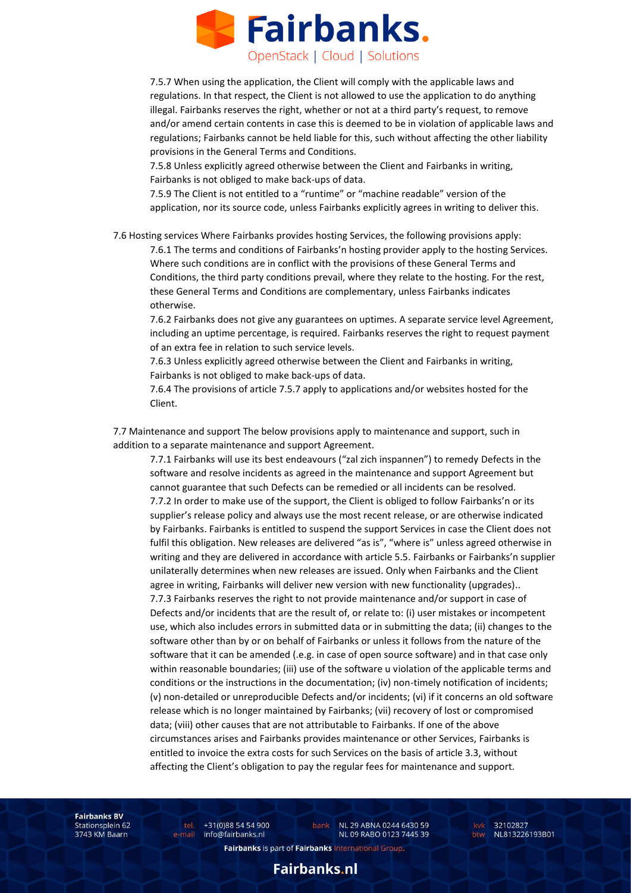

7.5.7 When using the application, the Client will comply with the applicable laws and regulations. In that respect, the Client is not allowed to use the application to do anything illegal. Fairbanks reserves the right, whether or not at a third party's request, to remove and/or amend certain contents in case this is deemed to be in violation of applicable laws and regulations; Fairbanks cannot be held liable for this, such without affecting the other liability provisions in the General Terms and Conditions.

7.5.8 Unless explicitly agreed otherwise between the Client and Fairbanks in writing, Fairbanks is not obliged to make back-ups of data.

7.5.9 The Client is not entitled to a "runtime" or "machine readable" version of the application, nor its source code, unless Fairbanks explicitly agrees in writing to deliver this.

7.6 Hosting services Where Fairbanks provides hosting Services, the following provisions apply:

7.6.1 The terms and conditions of Fairbanks'n hosting provider apply to the hosting Services. Where such conditions are in conflict with the provisions of these General Terms and Conditions, the third party conditions prevail, where they relate to the hosting. For the rest, these General Terms and Conditions are complementary, unless Fairbanks indicates otherwise.

7.6.2 Fairbanks does not give any guarantees on uptimes. A separate service level Agreement, including an uptime percentage, is required. Fairbanks reserves the right to request payment of an extra fee in relation to such service levels.

7.6.3 Unless explicitly agreed otherwise between the Client and Fairbanks in writing, Fairbanks is not obliged to make back-ups of data.

7.6.4 The provisions of article 7.5.7 apply to applications and/or websites hosted for the Client.

7.7 Maintenance and support The below provisions apply to maintenance and support, such in addition to a separate maintenance and support Agreement.

7.7.1 Fairbanks will use its best endeavours ("zal zich inspannen") to remedy Defects in the software and resolve incidents as agreed in the maintenance and support Agreement but cannot guarantee that such Defects can be remedied or all incidents can be resolved. 7.7.2 In order to make use of the support, the Client is obliged to follow Fairbanks'n or its supplier's release policy and always use the most recent release, or are otherwise indicated by Fairbanks. Fairbanks is entitled to suspend the support Services in case the Client does not fulfil this obligation. New releases are delivered "as is", "where is" unless agreed otherwise in writing and they are delivered in accordance with article 5.5. Fairbanks or Fairbanks'n supplier unilaterally determines when new releases are issued. Only when Fairbanks and the Client agree in writing, Fairbanks will deliver new version with new functionality (upgrades).. 7.7.3 Fairbanks reserves the right to not provide maintenance and/or support in case of Defects and/or incidents that are the result of, or relate to: (i) user mistakes or incompetent use, which also includes errors in submitted data or in submitting the data; (ii) changes to the software other than by or on behalf of Fairbanks or unless it follows from the nature of the software that it can be amended (.e.g. in case of open source software) and in that case only within reasonable boundaries; (iii) use of the software u violation of the applicable terms and conditions or the instructions in the documentation; (iv) non-timely notification of incidents; (v) non-detailed or unreproducible Defects and/or incidents; (vi) if it concerns an old software release which is no longer maintained by Fairbanks; (vii) recovery of lost or compromised data; (viii) other causes that are not attributable to Fairbanks. If one of the above circumstances arises and Fairbanks provides maintenance or other Services, Fairbanks is entitled to invoice the extra costs for such Services on the basis of article 3.3, without affecting the Client's obligation to pay the regular fees for maintenance and support.

**Fairbanks BV** Stationsplein 62 3743 KM Baarn

tel. +31(0)88 54 54 900 e-mail info@fairbanks.nl

bank NL 29 ABNA 0244 6430 59 NL 09 RABO 0123 7445 39

kvk 32102827 btw NL813226193B01

Fairbanks is part of Fairbanks International Group.

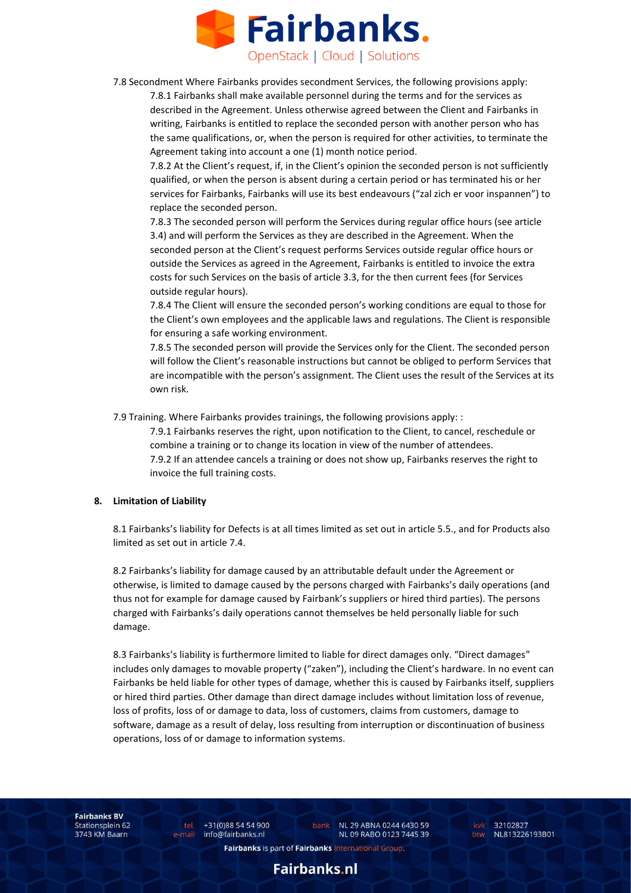

7.8 Secondment Where Fairbanks provides secondment Services, the following provisions apply:

7.8.1 Fairbanks shall make available personnel during the terms and for the services as described in the Agreement. Unless otherwise agreed between the Client and Fairbanks in writing, Fairbanks is entitled to replace the seconded person with another person who has the same qualifications, or, when the person is required for other activities, to terminate the Agreement taking into account a one (1) month notice period.

7.8.2 At the Client's request, if, in the Client's opinion the seconded person is not sufficiently qualified, or when the person is absent during a certain period or has terminated his or her services for Fairbanks, Fairbanks will use its best endeavours ("zal zich er voor inspannen") to replace the seconded person.

7.8.3 The seconded person will perform the Services during regular office hours (see article 3.4) and will perform the Services as they are described in the Agreement. When the seconded person at the Client's request performs Services outside regular office hours or outside the Services as agreed in the Agreement, Fairbanks is entitled to invoice the extra costs for such Services on the basis of article 3.3, for the then current fees (for Services outside regular hours).

7.8.4 The Client will ensure the seconded person's working conditions are equal to those for the Client's own employees and the applicable laws and regulations. The Client is responsible for ensuring a safe working environment.

7.8.5 The seconded person will provide the Services only for the Client. The seconded person will follow the Client's reasonable instructions but cannot be obliged to perform Services that are incompatible with the person's assignment. The Client uses the result of the Services at its own risk.

7.9 Training. Where Fairbanks provides trainings, the following provisions apply: :

7.9.1 Fairbanks reserves the right, upon notification to the Client, to cancel, reschedule or combine a training or to change its location in view of the number of attendees. 7.9.2 If an attendee cancels a training or does not show up, Fairbanks reserves the right to invoice the full training costs.

#### **8. Limitation of Liability**

8.1 Fairbanks's liability for Defects is at all times limited as set out in article 5.5., and for Products also limited as set out in article 7.4.

8.2 Fairbanks's liability for damage caused by an attributable default under the Agreement or otherwise, is limited to damage caused by the persons charged with Fairbanks's daily operations (and thus not for example for damage caused by Fairbank's suppliers or hired third parties). The persons charged with Fairbanks's daily operations cannot themselves be held personally liable for such damage.

8.3 Fairbanks's liability is furthermore limited to liable for direct damages only. "Direct damages" includes only damages to movable property ("zaken"), including the Client's hardware. In no event can Fairbanks be held liable for other types of damage, whether this is caused by Fairbanks itself, suppliers or hired third parties. Other damage than direct damage includes without limitation loss of revenue, loss of profits, loss of or damage to data, loss of customers, claims from customers, damage to software, damage as a result of delay, loss resulting from interruption or discontinuation of business operations, loss of or damage to information systems.

**Fairbanks BV** Stationsplein 62 3743 KM Baarn

tel. +31(0)88 54 54 900 e-mail info@fairbanks.nl

bank NL 29 ABNA 0244 6430 59 NL 09 RABO 0123 7445 39

kvk 32102827 btw NL813226193B01

Fairbanks is part of Fairbanks International Group.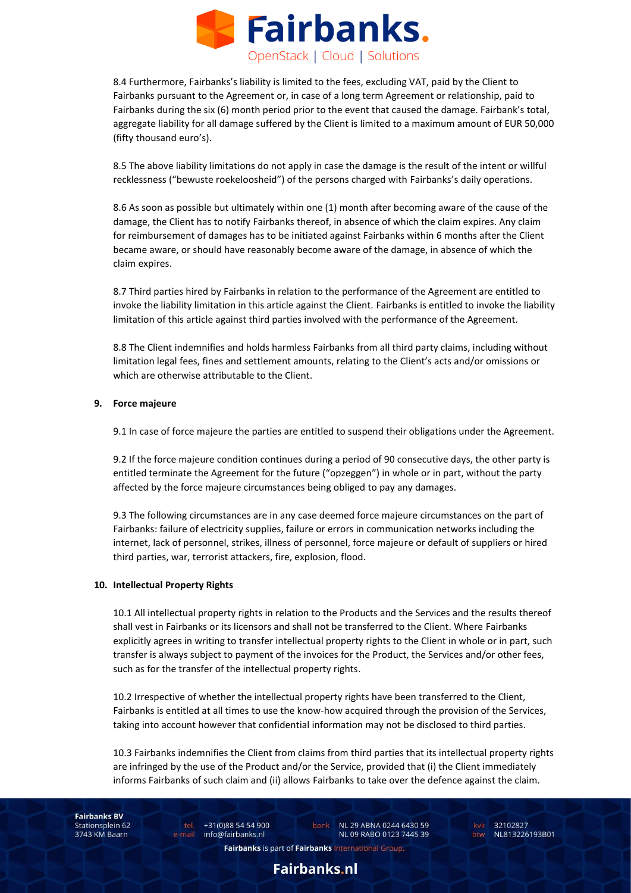

8.4 Furthermore, Fairbanks's liability is limited to the fees, excluding VAT, paid by the Client to Fairbanks pursuant to the Agreement or, in case of a long term Agreement or relationship, paid to Fairbanks during the six (6) month period prior to the event that caused the damage. Fairbank's total, aggregate liability for all damage suffered by the Client is limited to a maximum amount of EUR 50,000 (fifty thousand euro's).

8.5 The above liability limitations do not apply in case the damage is the result of the intent or willful recklessness ("bewuste roekeloosheid") of the persons charged with Fairbanks's daily operations.

8.6 As soon as possible but ultimately within one (1) month after becoming aware of the cause of the damage, the Client has to notify Fairbanks thereof, in absence of which the claim expires. Any claim for reimbursement of damages has to be initiated against Fairbanks within 6 months after the Client became aware, or should have reasonably become aware of the damage, in absence of which the claim expires.

8.7 Third parties hired by Fairbanks in relation to the performance of the Agreement are entitled to invoke the liability limitation in this article against the Client. Fairbanks is entitled to invoke the liability limitation of this article against third parties involved with the performance of the Agreement.

8.8 The Client indemnifies and holds harmless Fairbanks from all third party claims, including without limitation legal fees, fines and settlement amounts, relating to the Client's acts and/or omissions or which are otherwise attributable to the Client.

## **9. Force majeure**

9.1 In case of force majeure the parties are entitled to suspend their obligations under the Agreement.

9.2 If the force majeure condition continues during a period of 90 consecutive days, the other party is entitled terminate the Agreement for the future ("opzeggen") in whole or in part, without the party affected by the force majeure circumstances being obliged to pay any damages.

9.3 The following circumstances are in any case deemed force majeure circumstances on the part of Fairbanks: failure of electricity supplies, failure or errors in communication networks including the internet, lack of personnel, strikes, illness of personnel, force majeure or default of suppliers or hired third parties, war, terrorist attackers, fire, explosion, flood.

## **10. Intellectual Property Rights**

10.1 All intellectual property rights in relation to the Products and the Services and the results thereof shall vest in Fairbanks or its licensors and shall not be transferred to the Client. Where Fairbanks explicitly agrees in writing to transfer intellectual property rights to the Client in whole or in part, such transfer is always subject to payment of the invoices for the Product, the Services and/or other fees, such as for the transfer of the intellectual property rights.

10.2 Irrespective of whether the intellectual property rights have been transferred to the Client, Fairbanks is entitled at all times to use the know-how acquired through the provision of the Services, taking into account however that confidential information may not be disclosed to third parties.

10.3 Fairbanks indemnifies the Client from claims from third parties that its intellectual property rights are infringed by the use of the Product and/or the Service, provided that (i) the Client immediately informs Fairbanks of such claim and (ii) allows Fairbanks to take over the defence against the claim.

**Fairbanks BV** Stationsplein 62 3743 KM Baarn

tel. +31(0)88 54 54 900 e-mail info@fairbanks.nl

bank NL 29 ABNA 0244 6430 59 NL 09 RABO 0123 7445 39

kvk 32102827 btw NL813226193B01

Fairbanks is part of Fairbanks International Group.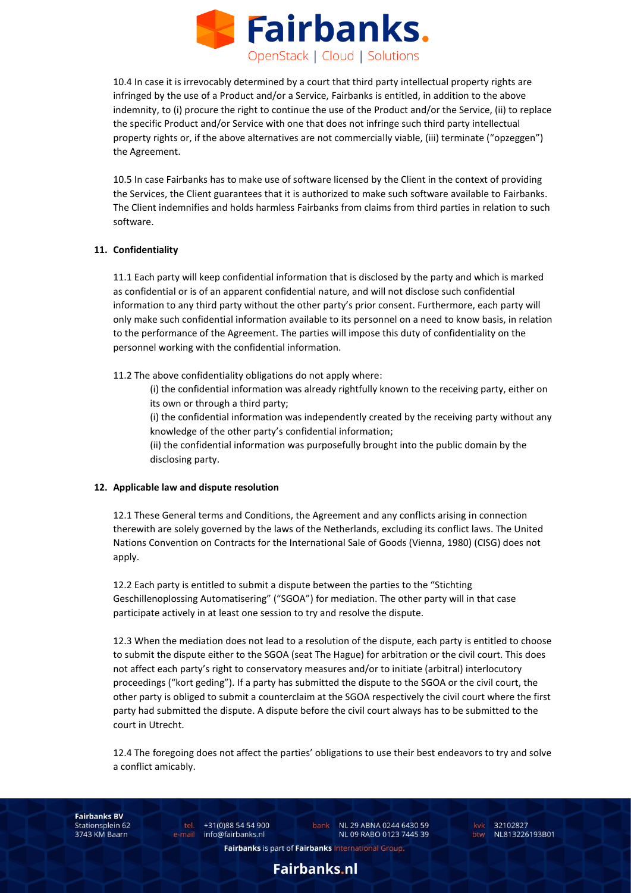

10.4 In case it is irrevocably determined by a court that third party intellectual property rights are infringed by the use of a Product and/or a Service, Fairbanks is entitled, in addition to the above indemnity, to (i) procure the right to continue the use of the Product and/or the Service, (ii) to replace the specific Product and/or Service with one that does not infringe such third party intellectual property rights or, if the above alternatives are not commercially viable, (iii) terminate ("opzeggen") the Agreement.

10.5 In case Fairbanks has to make use of software licensed by the Client in the context of providing the Services, the Client guarantees that it is authorized to make such software available to Fairbanks. The Client indemnifies and holds harmless Fairbanks from claims from third parties in relation to such software.

# **11. Confidentiality**

11.1 Each party will keep confidential information that is disclosed by the party and which is marked as confidential or is of an apparent confidential nature, and will not disclose such confidential information to any third party without the other party's prior consent. Furthermore, each party will only make such confidential information available to its personnel on a need to know basis, in relation to the performance of the Agreement. The parties will impose this duty of confidentiality on the personnel working with the confidential information.

11.2 The above confidentiality obligations do not apply where:

(i) the confidential information was already rightfully known to the receiving party, either on its own or through a third party;

(i) the confidential information was independently created by the receiving party without any knowledge of the other party's confidential information;

(ii) the confidential information was purposefully brought into the public domain by the disclosing party.

## **12. Applicable law and dispute resolution**

12.1 These General terms and Conditions, the Agreement and any conflicts arising in connection therewith are solely governed by the laws of the Netherlands, excluding its conflict laws. The United Nations Convention on Contracts for the International Sale of Goods (Vienna, 1980) (CISG) does not apply.

12.2 Each party is entitled to submit a dispute between the parties to the "Stichting Geschillenoplossing Automatisering" ("SGOA") for mediation. The other party will in that case participate actively in at least one session to try and resolve the dispute.

12.3 When the mediation does not lead to a resolution of the dispute, each party is entitled to choose to submit the dispute either to the SGOA (seat The Hague) for arbitration or the civil court. This does not affect each party's right to conservatory measures and/or to initiate (arbitral) interlocutory proceedings ("kort geding"). If a party has submitted the dispute to the SGOA or the civil court, the other party is obliged to submit a counterclaim at the SGOA respectively the civil court where the first party had submitted the dispute. A dispute before the civil court always has to be submitted to the court in Utrecht.

12.4 The foregoing does not affect the parties' obligations to use their best endeavors to try and solve a conflict amicably.

**Fairbanks BV** Stationsplein 62 3743 KM Baarn

tel. +31(0)88 54 54 900 e-mail info@fairbanks.nl

bank NL 29 ABNA 0244 6430 59 NL 09 RABO 0123 7445 39

kvk 32102827 btw NL813226193B01

Fairbanks is part of Fairbanks International Group.